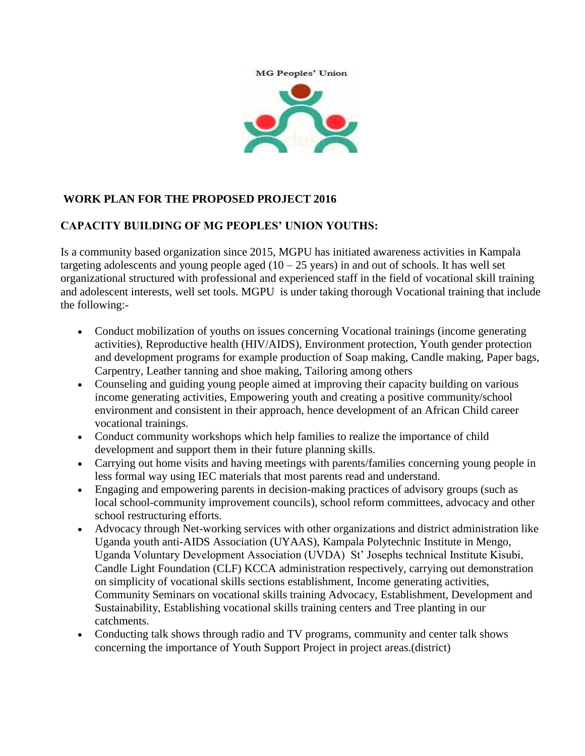



# **WORK PLAN FOR THE PROPOSED PROJECT 2016**

### **CAPACITY BUILDING OF MG PEOPLES' UNION YOUTHS:**

Is a community based organization since 2015, MGPU has initiated awareness activities in Kampala targeting adolescents and young people aged  $(10 - 25$  years) in and out of schools. It has well set organizational structured with professional and experienced staff in the field of vocational skill training and adolescent interests, well set tools. MGPU is under taking thorough Vocational training that include the following:-

- Conduct mobilization of youths on issues concerning Vocational trainings (income generating activities), Reproductive health (HIV/AIDS), Environment protection, Youth gender protection and development programs for example production of Soap making, Candle making, Paper bags, Carpentry, Leather tanning and shoe making, Tailoring among others
- Counseling and guiding young people aimed at improving their capacity building on various income generating activities, Empowering youth and creating a positive community/school environment and consistent in their approach, hence development of an African Child career vocational trainings.
- Conduct community workshops which help families to realize the importance of child development and support them in their future planning skills.
- Carrying out home visits and having meetings with parents/families concerning young people in less formal way using IEC materials that most parents read and understand.
- Engaging and empowering parents in decision-making practices of advisory groups (such as local school-community improvement councils), school reform committees, advocacy and other school restructuring efforts.
- Advocacy through Net-working services with other organizations and district administration like Uganda youth anti-AIDS Association (UYAAS), Kampala Polytechnic Institute in Mengo, Uganda Voluntary Development Association (UVDA) St' Josephs technical Institute Kisubi, Candle Light Foundation (CLF) KCCA administration respectively, carrying out demonstration on simplicity of vocational skills sections establishment, Income generating activities, Community Seminars on vocational skills training Advocacy, Establishment, Development and Sustainability, Establishing vocational skills training centers and Tree planting in our catchments.
- Conducting talk shows through radio and TV programs, community and center talk shows concerning the importance of Youth Support Project in project areas.(district)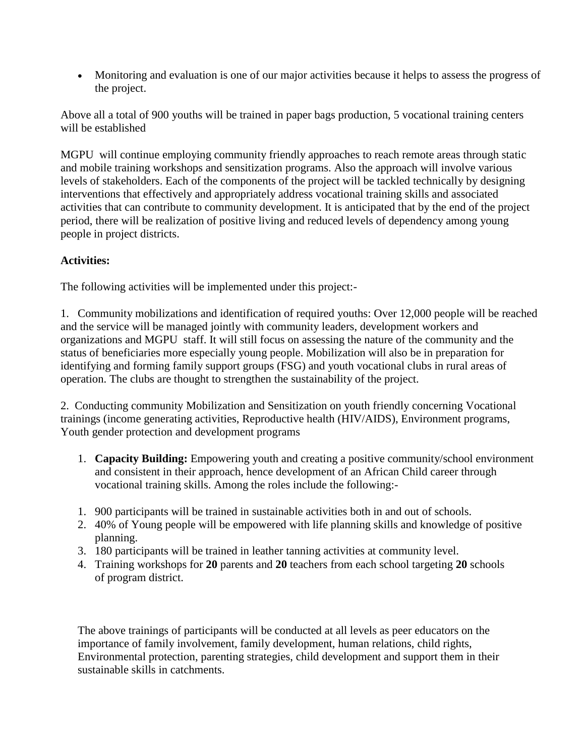Monitoring and evaluation is one of our major activities because it helps to assess the progress of the project.

Above all a total of 900 youths will be trained in paper bags production, 5 vocational training centers will be established

MGPU will continue employing community friendly approaches to reach remote areas through static and mobile training workshops and sensitization programs. Also the approach will involve various levels of stakeholders. Each of the components of the project will be tackled technically by designing interventions that effectively and appropriately address vocational training skills and associated activities that can contribute to community development. It is anticipated that by the end of the project period, there will be realization of positive living and reduced levels of dependency among young people in project districts.

# **Activities:**

The following activities will be implemented under this project:-

1. Community mobilizations and identification of required youths: Over 12,000 people will be reached and the service will be managed jointly with community leaders, development workers and organizations and MGPU staff. It will still focus on assessing the nature of the community and the status of beneficiaries more especially young people. Mobilization will also be in preparation for identifying and forming family support groups (FSG) and youth vocational clubs in rural areas of operation. The clubs are thought to strengthen the sustainability of the project.

2. Conducting community Mobilization and Sensitization on youth friendly concerning Vocational trainings (income generating activities, Reproductive health (HIV/AIDS), Environment programs, Youth gender protection and development programs

- 1. **Capacity Building:** Empowering youth and creating a positive community/school environment and consistent in their approach, hence development of an African Child career through vocational training skills. Among the roles include the following:-
- 1. 900 participants will be trained in sustainable activities both in and out of schools.
- 2. 40% of Young people will be empowered with life planning skills and knowledge of positive planning.
- 3. 180 participants will be trained in leather tanning activities at community level.
- 4. Training workshops for **20** parents and **20** teachers from each school targeting **20** schools of program district.

The above trainings of participants will be conducted at all levels as peer educators on the importance of family involvement, family development, human relations, child rights, Environmental protection, parenting strategies, child development and support them in their sustainable skills in catchments.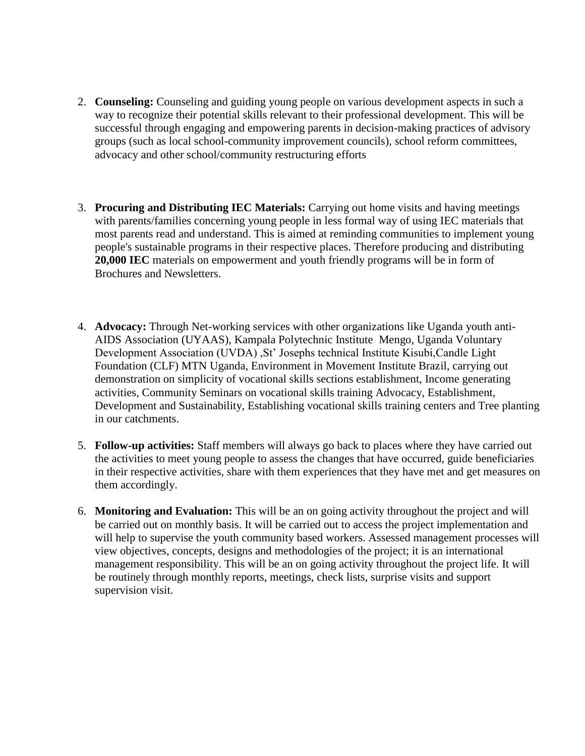- 2. **Counseling:** Counseling and guiding young people on various development aspects in such a way to recognize their potential skills relevant to their professional development. This will be successful through engaging and empowering parents in decision-making practices of advisory groups (such as local school-community improvement councils), school reform committees, advocacy and other school/community restructuring efforts
- 3. **Procuring and Distributing IEC Materials:** Carrying out home visits and having meetings with parents/families concerning young people in less formal way of using IEC materials that most parents read and understand. This is aimed at reminding communities to implement young people's sustainable programs in their respective places. Therefore producing and distributing **20,000 IEC** materials on empowerment and youth friendly programs will be in form of Brochures and Newsletters.
- 4. **Advocacy:** Through Net-working services with other organizations like Uganda youth anti-AIDS Association (UYAAS), Kampala Polytechnic Institute Mengo, Uganda Voluntary Development Association (UVDA) ,St' Josephs technical Institute Kisubi,Candle Light Foundation (CLF) MTN Uganda, Environment in Movement Institute Brazil, carrying out demonstration on simplicity of vocational skills sections establishment, Income generating activities, Community Seminars on vocational skills training Advocacy, Establishment, Development and Sustainability, Establishing vocational skills training centers and Tree planting in our catchments.
- 5. **Follow-up activities:** Staff members will always go back to places where they have carried out the activities to meet young people to assess the changes that have occurred, guide beneficiaries in their respective activities, share with them experiences that they have met and get measures on them accordingly.
- 6. **Monitoring and Evaluation:** This will be an on going activity throughout the project and will be carried out on monthly basis. It will be carried out to access the project implementation and will help to supervise the youth community based workers. Assessed management processes will view objectives, concepts, designs and methodologies of the project; it is an international management responsibility. This will be an on going activity throughout the project life. It will be routinely through monthly reports, meetings, check lists, surprise visits and support supervision visit.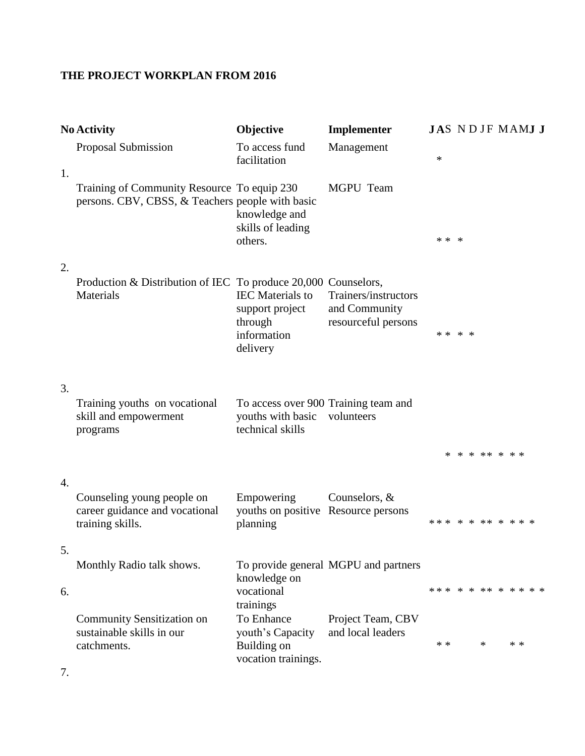# **THE PROJECT WORKPLAN FROM 2016**

|    | <b>No Activity</b>                                                                              | Objective                                                                        | Implementer                                                  | JAS NDJF MAMJ J      |                |        |     |  |
|----|-------------------------------------------------------------------------------------------------|----------------------------------------------------------------------------------|--------------------------------------------------------------|----------------------|----------------|--------|-----|--|
| 1. | Proposal Submission                                                                             | To access fund<br>facilitation                                                   | Management                                                   | $\ast$               |                |        |     |  |
|    | Training of Community Resource To equip 230<br>persons. CBV, CBSS, & Teachers people with basic | knowledge and<br>skills of leading<br>others.                                    | MGPU Team                                                    | * * *                |                |        |     |  |
| 2. |                                                                                                 |                                                                                  |                                                              |                      |                |        |     |  |
|    | Production & Distribution of IEC To produce 20,000 Counselors,<br>Materials                     | <b>IEC</b> Materials to<br>support project<br>through<br>information<br>delivery | Trainers/instructors<br>and Community<br>resourceful persons | * * * *              |                |        |     |  |
| 3. | Training youths on vocational<br>skill and empowerment<br>programs                              | To access over 900 Training team and<br>youths with basic<br>technical skills    | volunteers                                                   |                      |                |        |     |  |
|    |                                                                                                 |                                                                                  |                                                              |                      | * * * ** * * * |        |     |  |
| 4. | Counseling young people on<br>career guidance and vocational<br>training skills.                | Empowering<br>youths on positive Resource persons<br>planning                    | Counselors, &                                                | *** * * ** * * * *   |                |        |     |  |
| 5. |                                                                                                 |                                                                                  |                                                              |                      |                |        |     |  |
| 6. | Monthly Radio talk shows.                                                                       | knowledge on<br>vocational                                                       | To provide general MGPU and partners                         | *** * * ** * * * * * |                |        |     |  |
|    | <b>Community Sensitization on</b>                                                               | trainings<br>To Enhance                                                          | Project Team, CBV                                            |                      |                |        |     |  |
|    | sustainable skills in our<br>catchments.                                                        | youth's Capacity<br>Building on<br>vocation trainings.                           | and local leaders                                            | * *                  |                | $\ast$ | * * |  |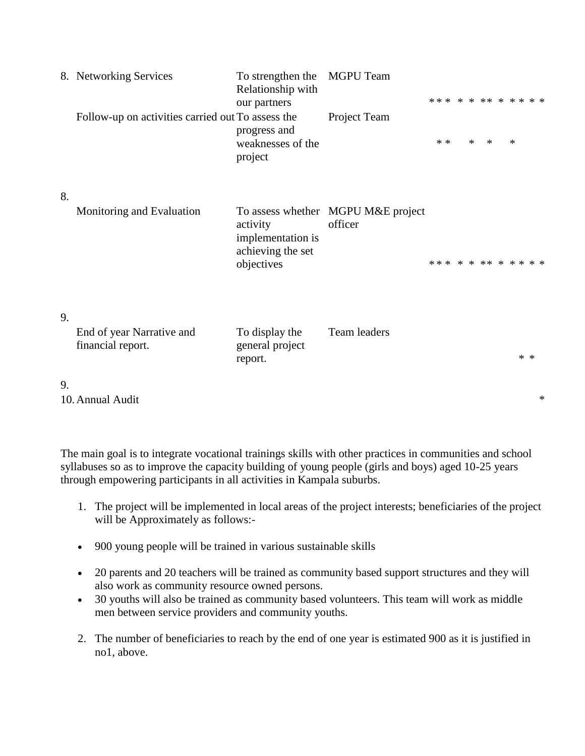|    | 8. Networking Services                            | To strengthen the<br>Relationship with<br>our partners           | MGPU Team                                     |       |        | *** * * ** * * * * * |        |       |        |
|----|---------------------------------------------------|------------------------------------------------------------------|-----------------------------------------------|-------|--------|----------------------|--------|-------|--------|
|    | Follow-up on activities carried out To assess the | progress and<br>weaknesses of the<br>project                     | Project Team                                  | $* *$ | $\ast$ | $\ast$               | $\ast$ |       |        |
| 8. |                                                   |                                                                  |                                               |       |        |                      |        |       |        |
|    | Monitoring and Evaluation                         | activity<br>implementation is<br>achieving the set<br>objectives | To assess whether MGPU M&E project<br>officer |       |        | *** * * ** * * * * * |        |       |        |
| 9. |                                                   |                                                                  |                                               |       |        |                      |        |       |        |
|    | End of year Narrative and<br>financial report.    | To display the<br>general project<br>report.                     | Team leaders                                  |       |        |                      |        | $* *$ |        |
| 9. |                                                   |                                                                  |                                               |       |        |                      |        |       |        |
|    | 10. Annual Audit                                  |                                                                  |                                               |       |        |                      |        |       | $\ast$ |

The main goal is to integrate vocational trainings skills with other practices in communities and school syllabuses so as to improve the capacity building of young people (girls and boys) aged 10-25 years through empowering participants in all activities in Kampala suburbs.

- 1. The project will be implemented in local areas of the project interests; beneficiaries of the project will be Approximately as follows:-
- 900 young people will be trained in various sustainable skills
- 20 parents and 20 teachers will be trained as community based support structures and they will also work as community resource owned persons.
- 30 youths will also be trained as community based volunteers. This team will work as middle men between service providers and community youths.
- 2. The number of beneficiaries to reach by the end of one year is estimated 900 as it is justified in no1, above.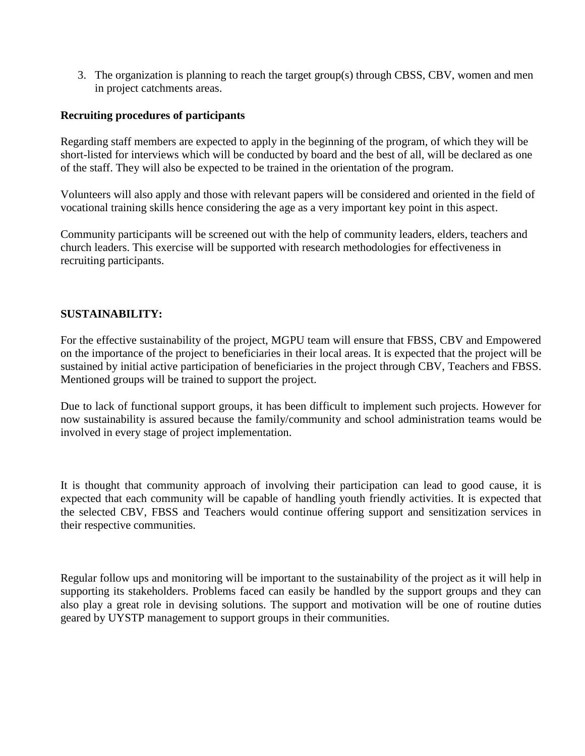3. The organization is planning to reach the target group(s) through CBSS, CBV, women and men in project catchments areas.

### **Recruiting procedures of participants**

Regarding staff members are expected to apply in the beginning of the program, of which they will be short-listed for interviews which will be conducted by board and the best of all, will be declared as one of the staff. They will also be expected to be trained in the orientation of the program.

Volunteers will also apply and those with relevant papers will be considered and oriented in the field of vocational training skills hence considering the age as a very important key point in this aspect.

Community participants will be screened out with the help of community leaders, elders, teachers and church leaders. This exercise will be supported with research methodologies for effectiveness in recruiting participants.

### **SUSTAINABILITY:**

For the effective sustainability of the project, MGPU team will ensure that FBSS, CBV and Empowered on the importance of the project to beneficiaries in their local areas. It is expected that the project will be sustained by initial active participation of beneficiaries in the project through CBV, Teachers and FBSS. Mentioned groups will be trained to support the project.

Due to lack of functional support groups, it has been difficult to implement such projects. However for now sustainability is assured because the family/community and school administration teams would be involved in every stage of project implementation.

It is thought that community approach of involving their participation can lead to good cause, it is expected that each community will be capable of handling youth friendly activities. It is expected that the selected CBV, FBSS and Teachers would continue offering support and sensitization services in their respective communities.

Regular follow ups and monitoring will be important to the sustainability of the project as it will help in supporting its stakeholders. Problems faced can easily be handled by the support groups and they can also play a great role in devising solutions. The support and motivation will be one of routine duties geared by UYSTP management to support groups in their communities.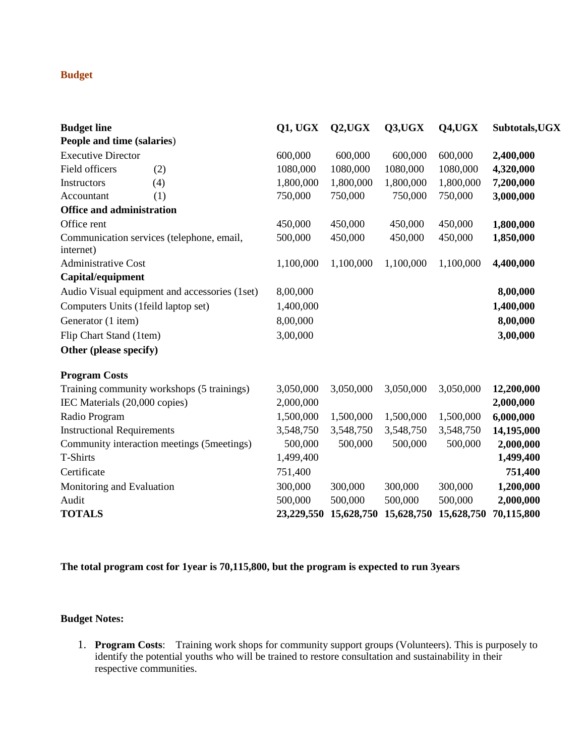### **Budget**

| <b>Budget line</b>                  |                                               | <b>Q1, UGX</b> | Q2,UGX     | Q3, UGX    | Q4, UGX    | Subtotals, UGX |
|-------------------------------------|-----------------------------------------------|----------------|------------|------------|------------|----------------|
| People and time (salaries)          |                                               |                |            |            |            |                |
| <b>Executive Director</b>           |                                               | 600,000        | 600,000    | 600,000    | 600,000    | 2,400,000      |
| Field officers                      | (2)                                           | 1080,000       | 1080,000   | 1080,000   | 1080,000   | 4,320,000      |
| Instructors                         | (4)                                           | 1,800,000      | 1,800,000  | 1,800,000  | 1,800,000  | 7,200,000      |
| Accountant                          | (1)                                           | 750,000        | 750,000    | 750,000    | 750,000    | 3,000,000      |
| <b>Office and administration</b>    |                                               |                |            |            |            |                |
| Office rent                         |                                               | 450,000        | 450,000    | 450,000    | 450,000    | 1,800,000      |
| internet)                           | Communication services (telephone, email,     | 500,000        | 450,000    | 450,000    | 450,000    | 1,850,000      |
| <b>Administrative Cost</b>          |                                               | 1,100,000      | 1,100,000  | 1,100,000  | 1,100,000  | 4,400,000      |
| Capital/equipment                   |                                               |                |            |            |            |                |
|                                     | Audio Visual equipment and accessories (1set) | 8,00,000       |            |            |            | 8,00,000       |
| Computers Units (1feild laptop set) |                                               | 1,400,000      |            |            |            | 1,400,000      |
| Generator (1 item)                  |                                               | 8,00,000       |            |            |            | 8,00,000       |
| Flip Chart Stand (1tem)             |                                               | 3,00,000       |            |            |            | 3,00,000       |
| Other (please specify)              |                                               |                |            |            |            |                |
| <b>Program Costs</b>                |                                               |                |            |            |            |                |
|                                     | Training community workshops (5 trainings)    | 3,050,000      | 3,050,000  | 3,050,000  | 3,050,000  | 12,200,000     |
| IEC Materials (20,000 copies)       |                                               | 2,000,000      |            |            |            | 2,000,000      |
| Radio Program                       |                                               | 1,500,000      | 1,500,000  | 1,500,000  | 1,500,000  | 6,000,000      |
| <b>Instructional Requirements</b>   |                                               | 3,548,750      | 3,548,750  | 3,548,750  | 3,548,750  | 14,195,000     |
|                                     | Community interaction meetings (5meetings)    | 500,000        | 500,000    | 500,000    | 500,000    | 2,000,000      |
| <b>T-Shirts</b>                     |                                               | 1,499,400      |            |            |            | 1,499,400      |
| Certificate                         |                                               | 751,400        |            |            |            | 751,400        |
| Monitoring and Evaluation           |                                               | 300,000        | 300,000    | 300,000    | 300,000    | 1,200,000      |
| Audit                               |                                               | 500,000        | 500,000    | 500,000    | 500,000    | 2,000,000      |
| <b>TOTALS</b>                       |                                               | 23,229,550     | 15,628,750 | 15,628,750 | 15,628,750 | 70,115,800     |

**The total program cost for 1year is 70,115,800, but the program is expected to run 3years**

#### **Budget Notes:**

1. **Program Costs**: Training work shops for community support groups (Volunteers). This is purposely to identify the potential youths who will be trained to restore consultation and sustainability in their respective communities.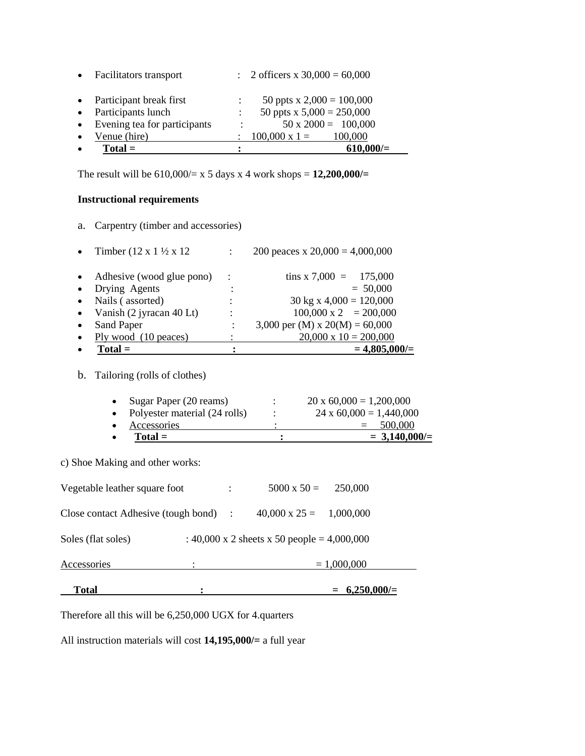|           | $Total =$                      |                | $610,000/=$                      |
|-----------|--------------------------------|----------------|----------------------------------|
| $\bullet$ | Venue (hire)                   |                | $100,000 \times 1 =$<br>100,000  |
|           | • Evening tea for participants | $\ddot{\cdot}$ | $50 \times 2000 = 100,000$       |
| $\bullet$ | Participants lunch             |                | 50 ppts x $5,000 = 250,000$      |
| $\bullet$ | Participant break first        |                | 50 ppts x $2,000 = 100,000$      |
| $\bullet$ | <b>Facilitators transport</b>  |                | : 2 officers x $30,000 = 60,000$ |

The result will be 610,000/= x 5 days x 4 work shops = **12,200,000/=**

#### **Instructional requirements**

a. Carpentry (timber and accessories)

|           | $Total =$                                    |                           | $= 4,805,000/$                         |
|-----------|----------------------------------------------|---------------------------|----------------------------------------|
|           | Ply wood (10 peaces)                         |                           | $20,000 \times 10 = 200,000$           |
|           | Sand Paper                                   |                           | 3,000 per (M) x $20(M) = 60,000$       |
| $\bullet$ | Vanish (2 jyracan 40 Lt)                     | ٠                         | $100,000 \times 2 = 200,000$           |
|           | Nails (assorted)                             | ٠<br>$\ddot{\phantom{0}}$ | $30 \text{ kg} \times 4,000 = 120,000$ |
|           | Drying Agents                                |                           | $= 50,000$                             |
|           | Adhesive (wood glue pono)                    | $\ddot{\phantom{1}}$ :    | tins x 7,000 = $175,000$               |
|           | Timber $(12 \times 1 \frac{1}{2} \times 12)$ |                           | 200 peaces x $20,000 = 4,000,000$      |

b. Tailoring (rolls of clothes)

| Total =                         |   | $= 3,140,000/=$                |
|---------------------------------|---|--------------------------------|
| Accessories                     |   | 500,000<br>$=$                 |
| • Polyester material (24 rolls) | ٠ | $24 \times 60,000 = 1,440,000$ |
| • Sugar Paper $(20$ reams)      | ٠ | $20 \times 60,000 = 1,200,000$ |

c) Shoe Making and other works:

| Total                                 |   |                |                                             | $= 6,250,000/=$ |
|---------------------------------------|---|----------------|---------------------------------------------|-----------------|
| Accessories                           | ٠ |                |                                             | $= 1,000,000$   |
| Soles (flat soles)                    |   |                | : 40,000 x 2 sheets x 50 people = 4,000,000 |                 |
| Close contact Adhesive (tough bond) : |   |                | $40,000 \times 25 = 1,000,000$              |                 |
| Vegetable leather square foot         |   | $\ddot{\cdot}$ | $5000 \times 50 = 250,000$                  |                 |

Therefore all this will be 6,250,000 UGX for 4.quarters

All instruction materials will cost **14,195,000/=** a full year